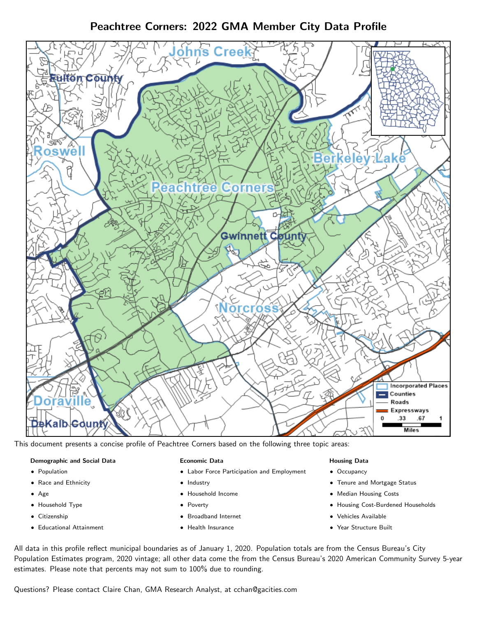Peachtree Corners: 2022 GMA Member City Data Profile



This document presents a concise profile of Peachtree Corners based on the following three topic areas:

## Demographic and Social Data

- **•** Population
- Race and Ethnicity
- Age
- Household Type
- **Citizenship**
- Educational Attainment

### Economic Data

- Labor Force Participation and Employment
- Industry
- Household Income
- Poverty
- Broadband Internet
- Health Insurance

### Housing Data

- Occupancy
- Tenure and Mortgage Status
- Median Housing Costs
- Housing Cost-Burdened Households
- Vehicles Available
- Year Structure Built

All data in this profile reflect municipal boundaries as of January 1, 2020. Population totals are from the Census Bureau's City Population Estimates program, 2020 vintage; all other data come the from the Census Bureau's 2020 American Community Survey 5-year estimates. Please note that percents may not sum to 100% due to rounding.

Questions? Please contact Claire Chan, GMA Research Analyst, at [cchan@gacities.com.](mailto:cchan@gacities.com)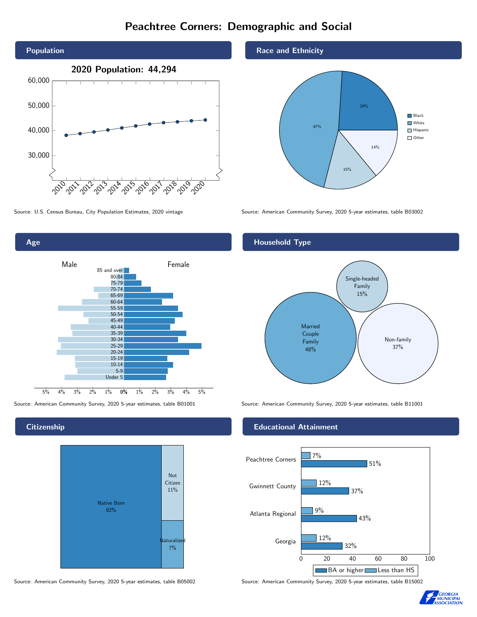# Peachtree Corners: Demographic and Social





### **Citizenship**



Source: American Community Survey, 2020 5-year estimates, table B05002 Source: American Community Survey, 2020 5-year estimates, table B15002

### Race and Ethnicity



Source: U.S. Census Bureau, City Population Estimates, 2020 vintage Source: American Community Survey, 2020 5-year estimates, table B03002

### Household Type



Source: American Community Survey, 2020 5-year estimates, table B01001 Source: American Community Survey, 2020 5-year estimates, table B11001

### Educational Attainment



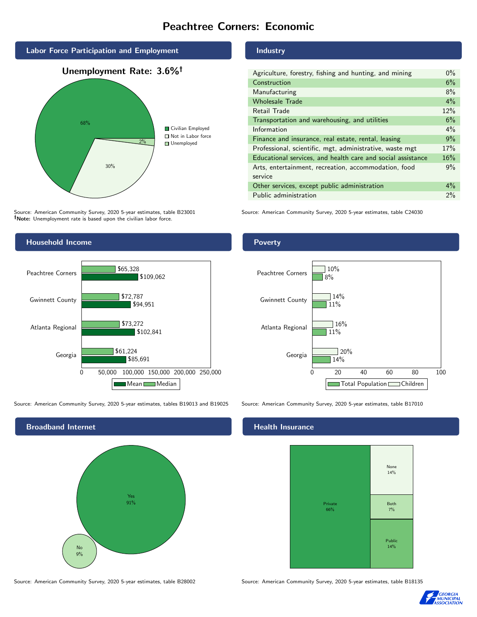# Peachtree Corners: Economic



Source: American Community Survey, 2020 5-year estimates, table B23001 Note: Unemployment rate is based upon the civilian labor force.



Source: American Community Survey, 2020 5-year estimates, tables B19013 and B19025 Source: American Community Survey, 2020 5-year estimates, table B17010



### Industry

| Agriculture, forestry, fishing and hunting, and mining      | $0\%$ |
|-------------------------------------------------------------|-------|
| Construction                                                | 6%    |
| Manufacturing                                               | 8%    |
| <b>Wholesale Trade</b>                                      | $4\%$ |
| Retail Trade                                                | 12%   |
| Transportation and warehousing, and utilities               | 6%    |
| Information                                                 | $4\%$ |
| Finance and insurance, real estate, rental, leasing         | 9%    |
| Professional, scientific, mgt, administrative, waste mgt    | 17%   |
| Educational services, and health care and social assistance | 16%   |
| Arts, entertainment, recreation, accommodation, food        | 9%    |
| service                                                     |       |
| Other services, except public administration                | $4\%$ |
| Public administration                                       | 2%    |

Source: American Community Survey, 2020 5-year estimates, table C24030

### Poverty



### Health Insurance



Source: American Community Survey, 2020 5-year estimates, table B28002 Source: American Community Survey, 2020 5-year estimates, table B18135